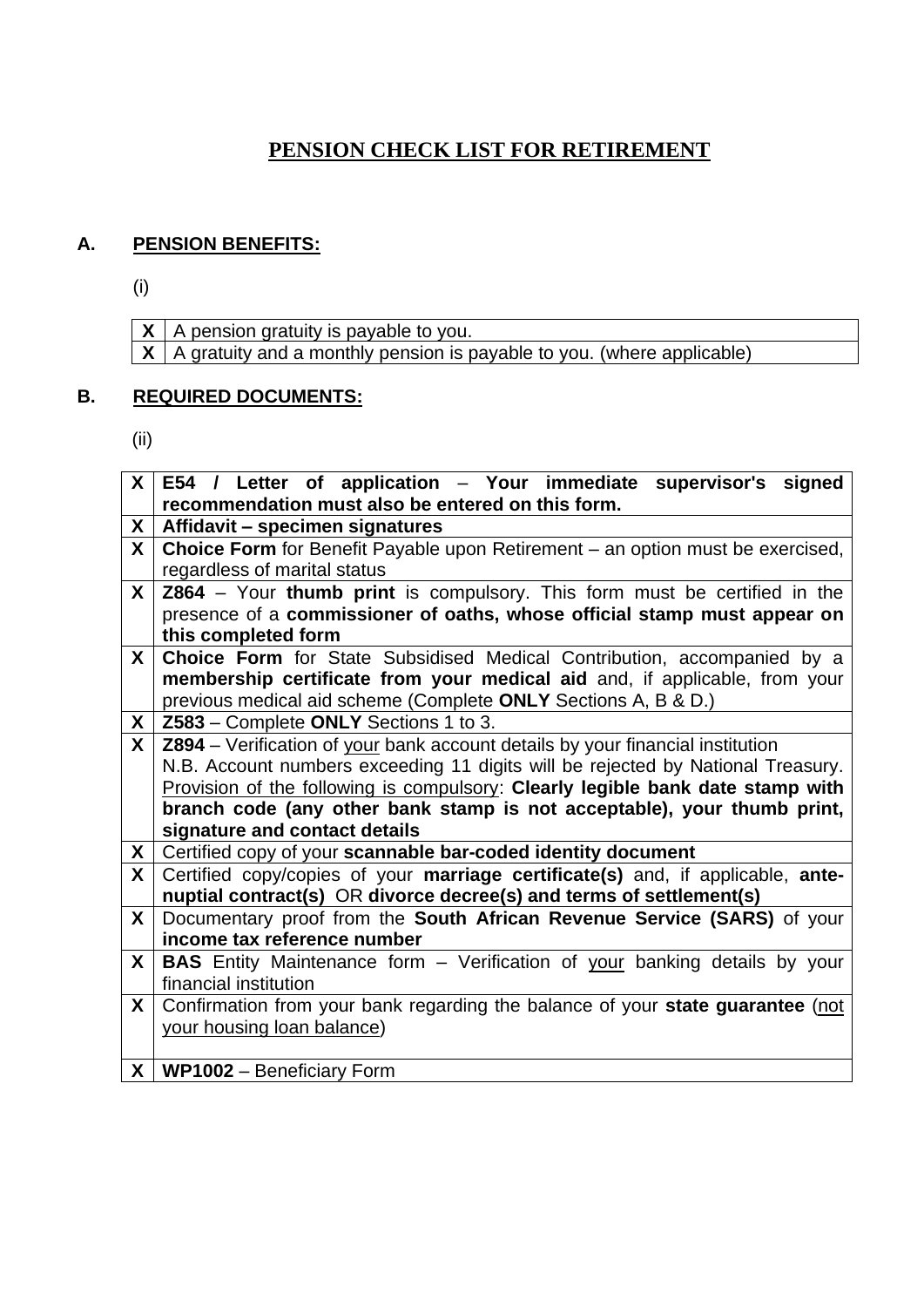## **PENSION CHECK LIST FOR RETIREMENT**

## **A. PENSION BENEFITS:**

(i)

**X** A pension gratuity is payable to you. **X** A gratuity and a monthly pension is payable to you. (where applicable)

## **B. REQUIRED DOCUMENTS:**

(ii)

| $\mathsf{X}^-$ | E54 / Letter of application - Your immediate supervisor's signed                  |
|----------------|-----------------------------------------------------------------------------------|
|                | recommendation must also be entered on this form.                                 |
| X.             | Affidavit - specimen signatures                                                   |
| $\mathsf{X}$   | Choice Form for Benefit Payable upon Retirement - an option must be exercised,    |
|                | regardless of marital status                                                      |
| $\mathsf{X}$   | <b>Z864</b> – Your thumb print is compulsory. This form must be certified in the  |
|                | presence of a commissioner of oaths, whose official stamp must appear on          |
|                | this completed form                                                               |
| $\mathsf{X}$   | Choice Form for State Subsidised Medical Contribution, accompanied by a           |
|                | membership certificate from your medical aid and, if applicable, from your        |
|                | previous medical aid scheme (Complete ONLY Sections A, B & D.)                    |
| X.             | Z583 - Complete ONLY Sections 1 to 3.                                             |
| $\mathsf{X}$   | Z894 - Verification of your bank account details by your financial institution    |
|                | N.B. Account numbers exceeding 11 digits will be rejected by National Treasury.   |
|                | Provision of the following is compulsory: Clearly legible bank date stamp with    |
|                | branch code (any other bank stamp is not acceptable), your thumb print,           |
|                | signature and contact details                                                     |
| X              | Certified copy of your scannable bar-coded identity document                      |
| $\mathsf{X}$   | Certified copy/copies of your marriage certificate(s) and, if applicable, ante-   |
|                | nuptial contract(s) OR divorce decree(s) and terms of settlement(s)               |
| X.             | Documentary proof from the South African Revenue Service (SARS) of your           |
|                | income tax reference number                                                       |
| X              | <b>BAS</b> Entity Maintenance form – Verification of your banking details by your |
|                | financial institution                                                             |
| X              | Confirmation from your bank regarding the balance of your state guarantee (not    |
|                | your housing loan balance)                                                        |
|                |                                                                                   |
|                | $X \mid WP1002 - \text{Beneficiency Form}$                                        |